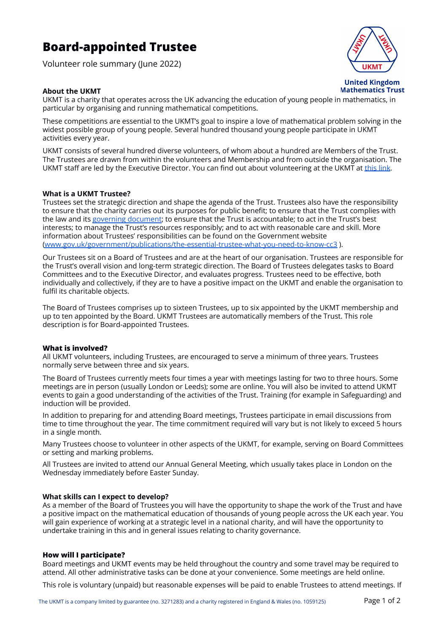# **Board-appointed Trustee**

Volunteer role summary (June 2022)



**United Kingdom Mathematics Trust** 

### **About the UKMT**

UKMT is a charity that operates across the UK advancing the education of young people in mathematics, in particular by organising and running mathematical competitions.

These competitions are essential to the UKMT's goal to inspire a love of mathematical problem solving in the widest possible group of young people. Several hundred thousand young people participate in UKMT activities every year.

UKMT consists of several hundred diverse volunteers, of whom about a hundred are Members of the Trust. The Trustees are drawn from within the volunteers and Membership and from outside the organisation. The UKMT staff are led by the Executive Director. You can find out about volunteering at the UKMT at [this](https://www.ukmt.org.uk/get-involved/volunteer-with-us) link.

#### **What is a UKMT Trustee?**

Trustees set the strategic direction and shape the agenda of the Trust. Trustees also have the responsibility to ensure that the charity carries out its purposes for public benefit; to ensure that the Trust complies with the law and its governing [document](https://www.ukmt.org.uk/sites/default/files/ukmt/policies/Articles%20of%20Association%2020_10_2020.pdf); to ensure that the Trust is accountable; to act in the Trust's best interests; to manage the Trust's resources responsibly; and to act with reasonable care and skill. More information about Trustees' responsibilities can be found on the Government website [\(www.gov.uk/government/publications/the-essential-trustee-what-you-need-to-know-cc3](https://www.gov.uk/government/publications/the-essential-trustee-what-you-need-to-know-cc3) ).

Our Trustees sit on a Board of Trustees and are at the heart of our organisation. Trustees are responsible for the Trust's overall vision and long-term strategic direction. The Board of Trustees delegates tasks to Board Committees and to the Executive Director, and evaluates progress. Trustees need to be effective, both individually and collectively, if they are to have a positive impact on the UKMT and enable the organisation to fulfil its charitable objects.

The Board of Trustees comprises up to sixteen Trustees, up to six appointed by the UKMT membership and up to ten appointed by the Board. UKMT Trustees are automatically members of the Trust. This role description is for Board-appointed Trustees.

### **What is involved?**

All UKMT volunteers, including Trustees, are encouraged to serve a minimum of three years. Trustees normally serve between three and six years.

The Board of Trustees currently meets four times a year with meetings lasting for two to three hours. Some meetings are in person (usually London or Leeds); some are online. You will also be invited to attend UKMT events to gain a good understanding of the activities of the Trust. Training (for example in Safeguarding) and induction will be provided.

In addition to preparing for and attending Board meetings, Trustees participate in email discussions from time to time throughout the year. The time commitment required will vary but is not likely to exceed 5 hours in a single month.

Many Trustees choose to volunteer in other aspects of the UKMT, for example, serving on Board Committees or setting and marking problems.

All Trustees are invited to attend our Annual General Meeting, which usually takes place in London on the Wednesday immediately before Easter Sunday.

#### **What skills can I expect to develop?**

As a member of the Board of Trustees you will have the opportunity to shape the work of the Trust and have a positive impact on the mathematical education of thousands of young people across the UK each year. You will gain experience of working at a strategic level in a national charity, and will have the opportunity to undertake training in this and in general issues relating to charity governance.

### **How will I participate?**

Board meetings and UKMT events may be held throughout the country and some travel may be required to attend. All other administrative tasks can be done at your convenience. Some meetings are held online.

This role is voluntary (unpaid) but reasonable expenses will be paid to enable Trustees to attend meetings. If